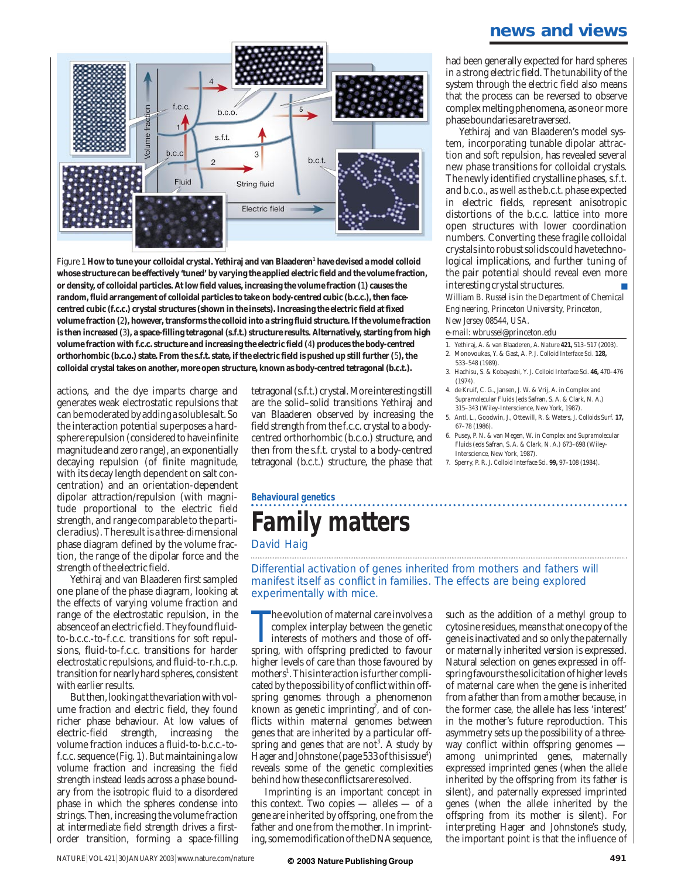### **news and views**



Figure 1 How to tune your colloidal crystal. Yethiraj and van Blaaderen<sup>1</sup> have devised a model colloid **whose structure can be effectively 'tuned' by varying the applied electric field and the volume fraction, or density, of colloidal particles. At low field values, increasing the volume fraction (**1**) causes the random, fluid arrangement of colloidal particles to take on body-centred cubic (b.c.c.), then facecentred cubic (f.c.c.) crystal structures (shown in the insets). Increasing the electric field at fixed volume fraction (**2**), however, transforms the colloid into a string fluid structure. If the volume fraction is then increased (**3**), a space-filling tetragonal (s.f.t.) structure results. Alternatively, starting from high volume fraction with f.c.c. structure and increasing the electric field (**4**) produces the body-centred orthorhombic (b.c.o.) state. From the s.f.t. state, if the electric field is pushed up still further (**5**), the colloidal crystal takes on another, more open structure, known as body-centred tetragonal (b.c.t.).**

actions, and the dye imparts charge and generates weak electrostatic repulsions that can be moderated by adding a soluble salt. So the interaction potential superposes a hardsphere repulsion (considered to have infinite magnitude and zero range), an exponentially decaying repulsion (of finite magnitude, with its decay length dependent on salt concentration) and an orientation-dependent dipolar attraction/repulsion (with magnitude proportional to the electric field strength, and range comparable to the particle radius). The result is a three-dimensional phase diagram defined by the volume fraction, the range of the dipolar force and the strength of the electric field.

Yethiraj and van Blaaderen first sampled one plane of the phase diagram, looking at the effects of varying volume fraction and range of the electrostatic repulsion, in the absence of an electric field. They found fluidto-b.c.c.-to-f.c.c. transitions for soft repulsions, fluid-to-f.c.c. transitions for harder electrostatic repulsions, and fluid-to-r.h.c.p. transition for nearly hard spheres, consistent with earlier results.

But then, looking at the variation with volume fraction and electric field, they found richer phase behaviour. At low values of electric-field strength, volume fraction induces a fluid-to-b.c.c.-tof.c.c. sequence (Fig. 1). But maintaining a low volume fraction and increasing the field strength instead leads across a phase boundary from the isotropic fluid to a disordered phase in which the spheres condense into strings. Then, increasing the volume fraction at intermediate field strength drives a firstorder transition, forming a space-filling

tetragonal (s.f.t.) crystal. More interesting still are the solid–solid transitions Yethiraj and van Blaaderen observed by increasing the field strength from the f.c.c. crystal to a bodycentred orthorhombic (b.c.o.) structure, and then from the s.f.t. crystal to a body-centred tetragonal (b.c.t.) structure, the phase that

#### had been generally expected for hard spheres in a strong electric field. The tunability of the system through the electric field also means that the process can be reversed to observe complex melting phenomena, as one or more phase boundaries are traversed.

Yethiraj and van Blaaderen's model system, incorporating tunable dipolar attraction and soft repulsion, has revealed several new phase transitions for colloidal crystals. The newly identified crystalline phases, s.f.t. and b.c.o., as well as the b.c.t. phase expected in electric fields, represent anisotropic distortions of the b.c.c. lattice into more open structures with lower coordination numbers. Converting these fragile colloidal crystals into robust solids could have technological implications, and further tuning of the pair potential should reveal even more interesting crystal structures. *William B. Russel is in the Department of Chemical Engineering, Princeton University, Princeton, New Jersey 08544, USA.*

*e-mail: wbrussel@princeton.edu*

- 1. Yethiraj, A. & van Blaaderen, A. *Nature* **421,** 513–517 (2003). 2. Monovoukas, Y. & Gast, A. P. *J. Colloid Interface Sci*. **128,**
- 533–548 (1989). 3. Hachisu, S. & Kobayashi, Y. *J. Colloid Interface Sci*. **46,** 470–476  $(1974)$
- 4. de Kruif, C. G., Jansen, J. W. & Vrij, A. in *Complex and Supramolecular Fluids* (eds Safran, S. A. & Clark, N. A.) 315–343 (Wiley-Interscience, New York, 1987).
- 5. Antl, L., Goodwin, J., Ottewill, R. & Waters, J. *Colloids Surf.* **17,** 67–78 (1986).
- 6. Pusey, P. N. & van Megen, W. in *Complex and Supramolecular Fluids* (eds Safran, S. A. & Clark, N. A.) 673–698 (Wiley-Interscience, New York, 1987).
- 7. Sperry, P. R. *J. Colloid Interface Sci.* **99,** 97–108 (1984).

# **Behavioural genetics Family matters**

David Haig

Differential activation of genes inherited from mothers and fathers will manifest itself as conflict in families. The effects are being explored experimentally with mice.

The evolution of maternal care involves a complex interplay between the genetic interests of mothers and those of offspring, with offspring predicted to favour he evolution of maternal care involves a complex interplay between the genetic interests of mothers and those of offhigher levels of care than those favoured by mothers<sup>1</sup>. This interaction is further complicated by the possibility of conflict within offspring genomes through a phenomenon known as genetic imprinting<sup>2</sup>, and of conflicts within maternal genomes between genes that are inherited by a particular offspring and genes that are not<sup>3</sup>. A study by Hager and Johnstone (page 533 of this issue<sup>4</sup>) reveals some of the genetic complexities behind how these conflicts are resolved.

Imprinting is an important concept in this context. Two copies — alleles — of a gene are inherited by offspring, one from the father and one from the mother. In imprinting, some modification of the DNA sequence, such as the addition of a methyl group to cytosine residues, means that one copy of the gene is inactivated and so only the paternally or maternally inherited version is expressed. Natural selection on genes expressed in offspring favours the solicitation of higher levels of maternal care when the gene is inherited from a father than from a mother because, in the former case, the allele has less 'interest' in the mother's future reproduction. This asymmetry sets up the possibility of a threeway conflict within offspring genomes among unimprinted genes, maternally expressed imprinted genes (when the allele inherited by the offspring from its father is silent), and paternally expressed imprinted genes (when the allele inherited by the offspring from its mother is silent). For interpreting Hager and Johnstone's study, the important point is that the influence of